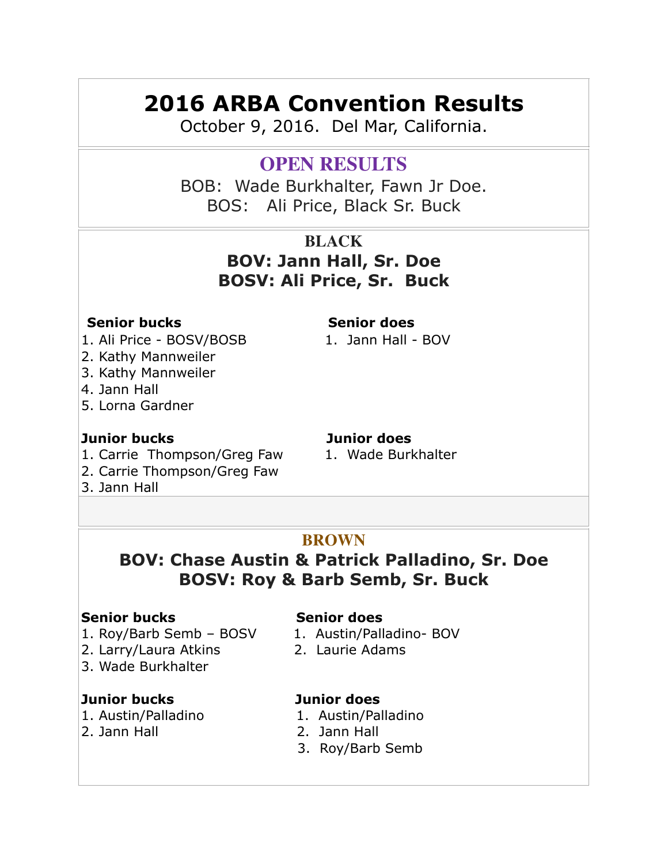# **2016 ARBA Convention Results**

October 9, 2016. Del Mar, California.

# **OPEN RESULTS**

BOB: Wade Burkhalter, Fawn Jr Doe. BOS: Ali Price, Black Sr. Buck

# **BLACK BOV: Jann Hall, Sr. Doe BOSV: Ali Price, Sr. Buck**

### **Senior bucks** Senior does

- 1. Ali Price BOSV/BOSB 1. Jann Hall BOV
- 2. Kathy Mannweiler
- 3. Kathy Mannweiler
- 4. Jann Hall
- 5. Lorna Gardner

## **Junior bucks Junior does**

- 1. Carrie Thompson/Greg Faw 1. Wade Burkhalter
- 2. Carrie Thompson/Greg Faw
- 3. Jann Hall

# **BROWN**

# **BOV: Chase Austin & Patrick Palladino, Sr. Doe BOSV: Roy & Barb Semb, Sr. Buck**

## **Senior bucks** Senior does

- 1. Roy/Barb Semb BOSV 1. Austin/Palladino- BOV
- 2. Larry/Laura Atkins 2. Laurie Adams
- 3. Wade Burkhalter

## **Junior bucks Junior does**

- 
- 

- 
- 

- 1. Austin/Palladino 1. Austin/Palladino
- 2. Jann Hall 2. Jann Hall
	- 3. Roy/Barb Semb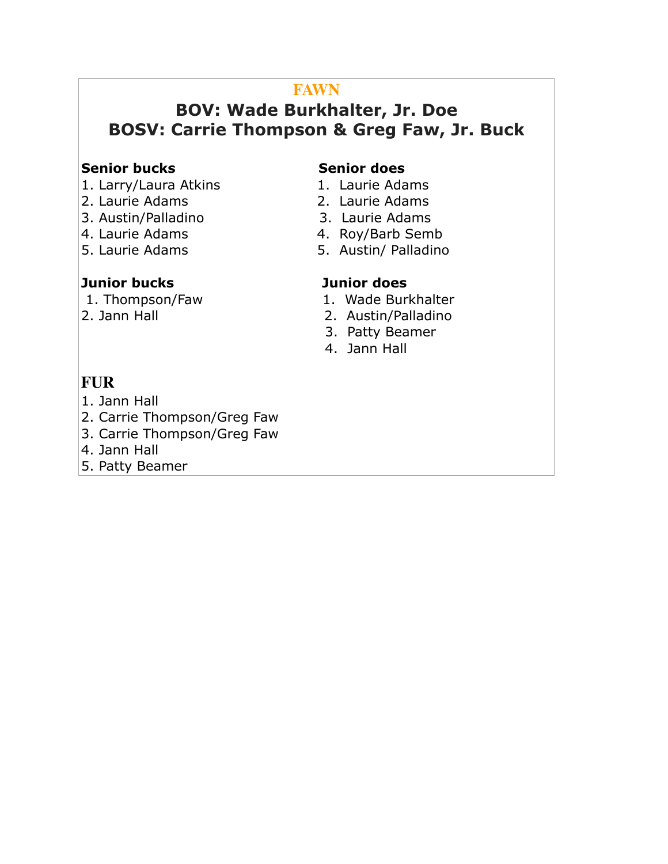# **FAWN**

# **BOV: Wade Burkhalter, Jr. Doe BOSV: Carrie Thompson & Greg Faw, Jr. Buck**

### **Senior bucks** Senior does

- 1. Larry/Laura Atkins 1. Laurie Adams
- 2. Laurie Adams 2. Laurie Adams
- 3. Austin/Palladino 3. Laurie Adams
- 
- 

### **Junior bucks Junior does**

- 
- 
- 
- 4. Laurie Adams 4. Roy/Barb Semb
- 5. Laurie Adams 5. Austin/ Palladino

- 1. Thompson/Faw 1. Wade Burkhalter
- 2. Jann Hall 2. Austin/Palladino
	- 3. Patty Beamer
	- 4. Jann Hall

# **FUR**

- 1. Jann Hall
- 2. Carrie Thompson/Greg Faw
- 3. Carrie Thompson/Greg Faw
- 4. Jann Hall
- 5. Patty Beamer